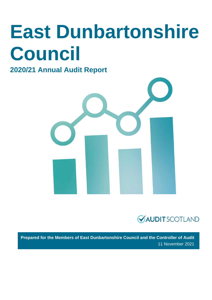# **East Dunbartonshire Council**

### **2020/21 Annual Audit Report**





**Prepared for the Members of East Dunbartonshire Council and the Controller of Audit** 11 November 2021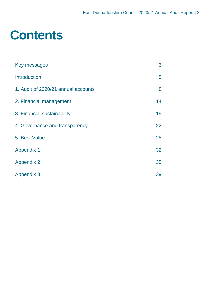### **Contents**

| Key messages                        | 3  |
|-------------------------------------|----|
| <b>Introduction</b>                 | 5  |
| 1. Audit of 2020/21 annual accounts | 8  |
| 2. Financial management             | 14 |
| 3. Financial sustainability         | 19 |
| 4. Governance and transparency      | 22 |
| 5. Best Value                       | 28 |
| <b>Appendix 1</b>                   | 32 |
| <b>Appendix 2</b>                   | 35 |
| <b>Appendix 3</b>                   | 39 |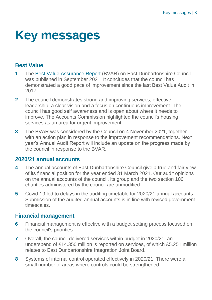### <span id="page-2-0"></span>**Key messages**

### **Best Value**

- **1** The [Best Value Assurance Report](https://www.audit-scotland.gov.uk/uploads/docs/report/2021/bv_210929_east_dun.pdf) (BVAR) on East Dunbartonshire Council was published in September 2021. It concludes that the council has demonstrated a good pace of improvement since the last Best Value Audit in 2017.
- **2** The council demonstrates strong and improving services, effective leadership, a clear vision and a focus on continuous improvement. The council has good self awareness and is open about where it needs to improve. The Accounts Commission highlighted the council's housing services as an area for urgent improvement.
- **3** The BVAR was considered by the Council on 4 November 2021, together with an action plan in response to the improvement recommendations. Next year's Annual Audit Report will include an update on the progress made by the council in response to the BVAR.

#### **2020/21 annual accounts**

- **4** The annual accounts of East Dunbartonshire Council give a true and fair view of its financial position for the year ended 31 March 2021. Our audit opinions on the annual accounts of the council, its group and the two section 106 charities administered by the council are unmodified.
- **5** Covid-19 led to delays in the auditing timetable for 2020/21 annual accounts. Submission of the audited annual accounts is in line with revised government timescales.

#### **Financial management**

- **6** Financial management is effective with a budget setting process focused on the council's priorities.
- **7** Overall, the council delivered services within budget in 2020/21, an underspend of £14.350 million is reported on services, of which £5.251 million relates to East Dunbartonshire Integration Joint Board.
- **8** Systems of internal control operated effectively in 2020/21. There were a small number of areas where controls could be strengthened.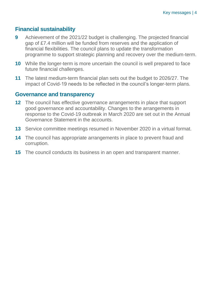### **Financial sustainability**

- **9** Achievement of the 2021/22 budget is challenging. The projected financial gap of £7.4 million will be funded from reserves and the application of financial flexibilities. The council plans to update the transformation programme to support strategic planning and recovery over the medium-term.
- **10** While the longer-term is more uncertain the council is well prepared to face future financial challenges.
- **11** The latest medium-term financial plan sets out the budget to 2026/27. The impact of Covid-19 needs to be reflected in the council's longer-term plans.

#### **Governance and transparency**

- **12** The council has effective governance arrangements in place that support good governance and accountability. Changes to the arrangements in response to the Covid-19 outbreak in March 2020 are set out in the Annual Governance Statement in the accounts.
- **13** Service committee meetings resumed in November 2020 in a virtual format.
- **14** The council has appropriate arrangements in place to prevent fraud and corruption.
- **15** The council conducts its business in an open and transparent manner.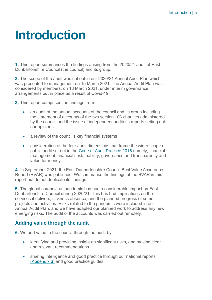### <span id="page-4-0"></span>**Introduction**

**1.** This report summarises the findings arising from the 2020/21 audit of East Dunbartonshire Council (the council) and its group.

**2.** The scope of the audit was set out in our 2020/21 Annual Audit Plan which was presented to management on 15 March 2021. The Annual Audit Plan was considered by members, on 18 March 2021, under interim governance arrangements put in place as a result of Covid-19.

**3.** This report comprises the findings from:

- an audit of the annual accounts of the council and its group including the statement of accounts of the two section 106 charities administered by the council and the issue of independent auditor's reports setting out our opinions
- a review of the council's key financial systems
- consideration of the four audit dimensions that frame the wider scope of public audit set out in the [Code of Audit Practice 2016](http://www.audit-scotland.gov.uk/report/code-of-audit-practice-2016) namely, financial management, financial sustainability, governance and transparency and value for money.

**4.** In September 2021, the East Dunbartonshire Council Best Value Assurance Report (BVAR) was published. We summarise the findings of the BVAR in this report but do not duplicate its findings.

**5.** The global coronavirus pandemic has had a considerable impact on East Dunbartonshire Council during 2020/21. This has had implications on the services it delivers, sickness absence, and the planned progress of some projects and activities. Risks related to the pandemic were included in our Annual Audit Plan, and we have adapted our planned work to address any new emerging risks. The audit of the accounts was carried out remotely.

#### **Adding value through the audit**

**6.** We add value to the council through the audit by:

- identifying and providing insight on significant risks, and making clear and relevant recommendations
- sharing intelligence and good practice through our national reports [\(Appendix 3\)](#page-38-0) and good practice guides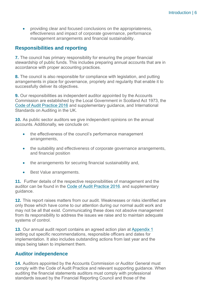• providing clear and focused conclusions on the appropriateness, effectiveness and impact of corporate governance, performance management arrangements and financial sustainability.

#### **Responsibilities and reporting**

**7.** The council has primary responsibility for ensuring the proper financial stewardship of public funds. This includes preparing annual accounts that are in accordance with proper accounting practices.

**8.** The council is also responsible for compliance with legislation, and putting arrangements in place for governance, propriety and regularity that enable it to successfully deliver its objectives.

**9.** Our responsibilities as independent auditor appointed by the Accounts Commission are established by the Local Government in Scotland Act 1973, the [Code of Audit Practice 2016](http://www.audit-scotland.gov.uk/report/code-of-audit-practice-2016) and supplementary guidance, and International Standards on Auditing in the UK.

**10.** As public sector auditors we give independent opinions on the annual accounts. Additionally, we conclude on:

- the effectiveness of the council's performance management arrangements,
- the suitability and effectiveness of corporate governance arrangements, and financial position
- the arrangements for securing financial sustainability and,
- Best Value arrangements.

**11.** Further details of the respective responsibilities of management and the auditor can be found in the [Code of Audit Practice 2016.](http://www.audit-scotland.gov.uk/report/code-of-audit-practice-2016) and supplementary guidance.

**12.** This report raises matters from our audit. Weaknesses or risks identified are only those which have come to our attention during our normal audit work and may not be all that exist. Communicating these does not absolve management from its responsibility to address the issues we raise and to maintain adequate systems of control.

**13.** Our annual audit report contains an agreed action plan at [Appendix 1](#page-31-0) setting out specific recommendations, responsible officers and dates for implementation. It also includes outstanding actions from last year and the steps being taken to implement them.

#### **Auditor independence**

**14.** Auditors appointed by the Accounts Commission or Auditor General must comply with the Code of Audit Practice and relevant supporting guidance. When auditing the financial statements auditors must comply with professional standards issued by the Financial Reporting Council and those of the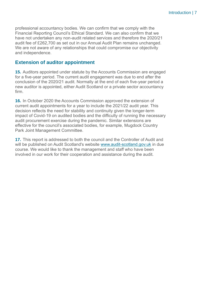professional accountancy bodies. We can confirm that we comply with the Financial Reporting Council's Ethical Standard. We can also confirm that we have not undertaken any non-audit related services and therefore the 2020/21 audit fee of £262,700 as set out in our Annual Audit Plan remains unchanged. We are not aware of any relationships that could compromise our objectivity and independence.

#### **Extension of auditor appointment**

**15.** Auditors appointed under statute by the Accounts Commission are engaged for a five-year period. The current audit engagement was due to end after the conclusion of the 2020/21 audit. Normally at the end of each five-year period a new auditor is appointed, either Audit Scotland or a private sector accountancy firm.

**16.** In October 2020 the Accounts Commission approved the extension of current audit appointments for a year to include the 2021/22 audit year. This decision reflects the need for stability and continuity given the longer-term impact of Covid-19 on audited bodies and the difficulty of running the necessary audit procurement exercise during the pandemic. Similar extensions are effective for the council's associated bodies, for example, Mugdock Country Park Joint Management Committee.

**17.** This report is addressed to both the council and the Controller of Audit and will be published on Audit Scotland's website [www.audit-scotland.gov.uk](http://www.audit-scotland.gov.uk/) in due course. We would like to thank the management and staff who have been involved in our work for their cooperation and assistance during the audit.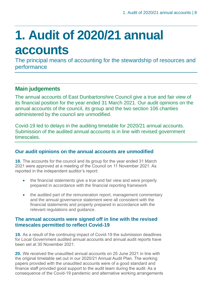## <span id="page-7-0"></span>**1. Audit of 2020/21 annual accounts**

The principal means of accounting for the stewardship of resources and performance

### **Main judgements**

The annual accounts of East Dunbartonshire Council give a true and fair view of its financial position for the year ended 31 March 2021. Our audit opinions on the annual accounts of the council, its group and the two section 106 charities administered by the council are unmodified.

Covid-19 led to delays in the auditing timetable for 2020/21 annual accounts. Submission of the audited annual accounts is in line with revised government timescales.

#### **Our audit opinions on the annual accounts are unmodified**

**18.** The accounts for the council and its group for the year ended 31 March 2021 were approved at a meeting of the Council on 11 November 2021. As reported in the independent auditor's report:

- the financial statements give a true and fair view and were properly prepared in accordance with the financial reporting framework
- the audited part of the remuneration report, management commentary and the annual governance statement were all consistent with the financial statements and properly prepared in accordance with the relevant regulations and guidance.

#### **The annual accounts were signed off in line with the revised timescales permitted to reflect Covid-19**

**19.** As a result of the continuing impact of Covid-19 the submission deadlines for Local Government audited annual accounts and annual audit reports have been set at 30 November 2021.

**20.** We received the unaudited annual accounts on 25 June 2021 in line with the original timetable set out in our 2020/21 Annual Audit Plan. The working papers provided with the unaudited accounts were of a good standard and finance staff provided good support to the audit team during the audit. As a consequence of the Covid-19 pandemic and alternative working arrangements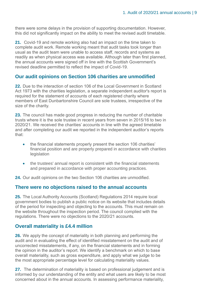there were some delays in the provision of supporting documentation. However, this did not significantly impact on the ability to meet the revised audit timetable.

**21.** Covid-19 and remote working also had an impact on the time taken to complete audit work. Remote working meant that audit tasks took longer than usual as the audit team were unable to access staff, records and systems as readily as when physical access was available. Although later than first planned, the annual accounts were signed off in line with the Scottish Government's revised deadline permitted to reflect the impact of Covid-19.

#### **Our audit opinions on Section 106 charities are unmodified**

**22.** Due to the interaction of section 106 of the Local Government in Scotland Act 1973 with the charities legislation, a separate independent auditor's report is required for the statement of accounts of each registered charity where members of East Dunbartonshire Council are sole trustees, irrespective of the size of the charity.

**23.** The council has made good progress in reducing the number of charitable trusts where it is the sole trustee in recent years from seven in 2015/16 to two in 2020/21. We received the charities' accounts in line with the agreed timetable and after completing our audit we reported in the independent auditor's reports that:

- the financial statements properly present the section 106 charities' financial position and are properly prepared in accordance with charities legislation
- the trustees' annual report is consistent with the financial statements and prepared in accordance with proper accounting practices.

**24.** Our audit opinions on the two Section 106 charities are unmodified.

#### **There were no objections raised to the annual accounts**

**25.** The Local Authority Accounts (Scotland) Regulations 2014 require local government bodies to publish a public notice on its website that includes details of the period for inspecting and objecting to the accounts. This must remain on the website throughout the inspection period. The council complied with the regulations. There were no objections to the 2020/21 accounts.

#### **Overall materiality is £4.4 million**

**26.** We apply the concept of materiality in both planning and performing the audit and in evaluating the effect of identified misstatement on the audit and of uncorrected misstatements, if any, on the financial statements and in forming the opinion in the auditor's report. We identify a benchmark on which to base overall materiality, such as gross expenditure, and apply what we judge to be the most appropriate percentage level for calculating materiality values.

**27.** The determination of materiality is based on professional judgement and is informed by our understanding of the entity and what users are likely to be most concerned about in the annual accounts. In assessing performance materiality,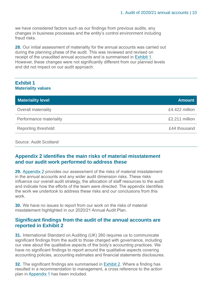we have considered factors such as our findings from previous audits, any changes in business processes and the entity's control environment including fraud risks.

**28.** Our initial assessment of materiality for the annual accounts was carried out during the planning phase of the audit. This was reviewed and revised on receipt of the unaudited annual accounts and is summarised in [Exhibit 1.](#page-9-0) However, these changes were not significantly different from our planned levels and did not impact on our audit approach.

#### <span id="page-9-0"></span>**Exhibit 1 Materiality values**

| <b>Materiality level</b> | <b>Amount</b>  |
|--------------------------|----------------|
| Overall materiality      | £4.422 million |
| Performance materiality  | £2.211 million |
| Reporting threshold      | £44 thousand   |

Source: Audit Scotland

#### **Appendix 2 identifies the main risks of material misstatement and our audit work performed to address these**

**29.** Appendix 2 [provides our assessment of the risks of material misstatement](#page-34-0) [in the annual accounts and any wider audit dimension risks. These risks](#page-34-0) [influence our overall audit strategy, the allocation of staff resources to the audit](#page-34-0) [and indicate how the efforts of the team were directed. The appendix identifies](#page-34-0) [the work we undertook to address these risks and our conclusions from this](#page-34-0) [work.](#page-34-0)

**30.** We have no issues to report from our work on the risks of material misstatement highlighted in our 2020/21 Annual Audit Plan.

#### **Significant findings from the audit of the annual accounts are reported in Exhibit 2**

**31.** International Standard on Auditing (UK) 260 requires us to communicate significant findings from the audit to those charged with governance, including our view about the qualitative aspects of the body's accounting practices. We have no significant findings to report around the qualitative aspects covering accounting policies, accounting estimates and financial statements disclosures.

**32.** The significant findings are summarised in [Exhibit 2.](#page-10-0) Where a finding has resulted in a recommendation to management, a cross reference to the action plan i[n Appendix 1](#page-31-0) has been included.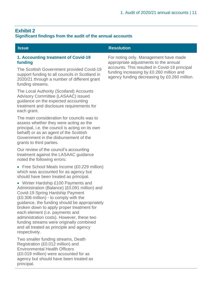#### <span id="page-10-0"></span>**Exhibit 2 Significant findings from the audit of the annual accounts**

#### **1. Accounting treatment of Covid-19 funding**

The Scottish Government provided Covid-19 support funding to all councils in Scotland in 2020/21 through a number of different grant funding streams.

The Local Authority (Scotland) Accounts Advisory Committee (LASAAC) issued guidance on the expected accounting treatment and disclosure requirements for each grant.

The main consideration for councils was to assess whether they were acting as the principal, i.e. the council is acting on its own behalf) or as an agent of the Scottish Government in the disbursement of the grants to third parties.

Our review of the council's accounting treatment against the LASAAC guidance noted the following errors:

- Free School Meals Income (£0.229 million) which was accounted for as agency but should have been treated as principal.
- Winter Hardship £100 Payments and Administration (Balance) (£0.091 million) and Covid-19 Spring Hardship Payment (£0.306 million) - to comply with the guidance, the funding should be appropriately broken down to apply proper treatment for each element (i.e. payments and administration costs). However, these two funding streams were originally combined and all treated as principle and agency respectively.

Two smaller funding streams, Death Registration (£0.012 million) and Environmental Health Officers (£0.019 million) were accounted for as agency but should have been treated as principal.

#### **Issue Resolution**

For noting only. Management have made appropriate adjustments to the annual accounts. This resulted in Covid-19 principal funding increasing by £0.260 million and agency funding decreasing by £0.260 million.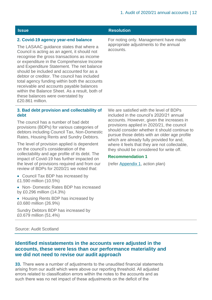#### **2. Covid-19 agency year-end balance**

The LASAAC guidance states that where a Council is acting as an agent, it should not recognise the gross transactions as income or expenditure in the Comprehensive Income and Expenditure Statement. The net balance should be included and accounted for as a debtor or creditor. The council has included total agency funding within both the accounts receivable and accounts payable balances within the Balance Sheet. As a result, both of these balances were overstated by £20.861 million.

#### **3. Bad debt provision and collectability of debt**

The council has a number of bad debt provisions (BDPs) for various categories of debtors including Council Tax, Non-Domestic Rates, Housing Rents and Sundry Debtors.

The level of provision applied is dependent on the council's consideration of the collectability and age profile of its debt. The impact of Covid-19 has further impacted on the level of provisions required and from our review of BDPs for 2020/21 we noted that:

- Council Tax BDP has increased by £1.590 million (10.5%)
- Non- Domestic Rates BDP has increased by £0.296 million (14.3%)
- Housing Rents BDP has increased by £0.680 million (26.9%)

Sundry Debtors BDP has increased by £0.679 million (51.4%)

We are satisfied with the level of BDPs included in the council's 2020/21 annual accounts. However, given the increases in provisions applied in 2020/21, the council should consider whether it should continue to pursue those debts with an older age profile which are already fully provided for and. where it feels that they are not collectable, they should be considered for write off.

#### **Recommendation 1**

(refer [Appendix 1,](#page-31-0) action plan)

Source: Audit Scotland

#### **Identified misstatements in the accounts were adjusted in the accounts, these were less than our performance materiality and we did not need to revise our audit approach**

**33.** There were a number of adjustments to the unaudited financial statements arising from our audit which were above our reporting threshold. All adjusted errors related to classification errors within the notes to the accounts and as such there was no net impact of these adjustments on the deficit of the

#### **Issue Resolution**

For noting only. Management have made appropriate adjustments to the annual accounts.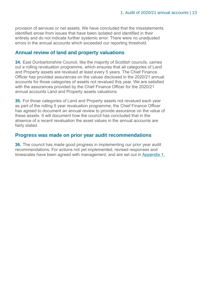provision of services or net assets. We have concluded that the misstatements identified arose from issues that have been isolated and identified in their entirety and do not indicate further systemic error. There were no unadjusted errors in the annual accounts which exceeded our reporting threshold.

#### **Annual review of land and property valuations**

**34.** East Dunbartonshire Council, like the majority of Scottish councils, carries out a rolling revaluation programme, which ensures that all categories of Land and Property assets are revalued at least every 5 years. The Chief Finance Officer has provided assurances on the values disclosed in the 2020/21 annual accounts for those categories of assets not revalued this year. We are satisfied with the assurances provided by the Chief Finance Officer for the 2020/21 annual accounts Land and Property assets valuations.

**35.** For those categories of Land and Property assets not revalued each year as part of the rolling 5 year revaluation programme, the Chief Finance Officer has agreed to document an annual review to provide assurance on the value of these assets. It will document how the council has concluded that in the absence of a recent revaluation the asset values in the annual accounts are fairly stated.

#### **Progress was made on prior year audit recommendations**

**36.** The council has made good progress in implementing our prior year audit recommendations. For actions not yet implemented, revised responses and timescales have been agreed with management, and are set out in [Appendix 1.](#page-31-0)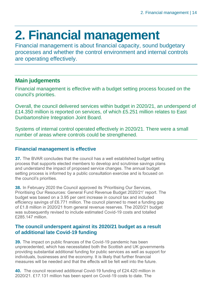## <span id="page-13-0"></span>**2. Financial management**

Financial management is about financial capacity, sound budgetary processes and whether the control environment and internal controls are operating effectively.

#### **Main judgements**

Financial management is effective with a budget setting process focused on the council's priorities.

Overall, the council delivered services within budget in 2020/21, an underspend of £14.350 million is reported on services, of which £5.251 million relates to East Dunbartonshire Integration Joint Board.

Systems of internal control operated effectively in 2020/21. There were a small number of areas where controls could be strengthened.

#### **Financial management is effective**

**37.** The BVAR concludes that the council has a well established budget setting process that supports elected members to develop and scrutinise savings plans and understand the impact of proposed service changes. The annual budget setting process is informed by a public consultation exercise and is focused on the council's priorities.

**38.** In February 2020 the Council approved its 'Prioritising Our Services, Prioritising Our Resources: General Fund Revenue Budget 2020/21' report. The budget was based on a 3.95 per cent increase in council tax and included efficiency savings of £6.771 million. The council planned to meet a funding gap of £1.8 million in 2020/21 from general revenue reserves. The 2020/21 budget was subsequently revised to include estimated Covid-19 costs and totalled £285.147 million.

#### **The council underspent against its 2020/21 budget as a result of additional late Covid-19 funding**

**39.** The impact on public finances of the Covid-19 pandemic has been unprecedented, which has necessitated both the Scottish and UK governments providing substantial additional funding for public services as well as support for individuals, businesses and the economy. It is likely that further financial measures will be needed and that the effects will be felt well into the future.

**40.** The council received additional Covid-19 funding of £24.420 million in 2020/21. £17.131 million has been spent on Covid-19 costs to date. The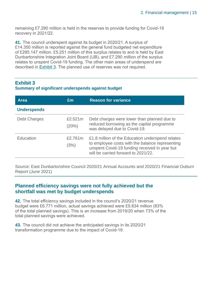remaining £7.290 million is held in the reserves to provide funding for Covid-19 recovery in 2021/22.

**41.** The council underspent against its budget in 2020/21. A surplus of £14.350 million is reported against the general fund budgeted net expenditure of £285.147 million. £5.251 million of this surplus relates to and is held by East Dunbartonshire Integration Joint Board (IJB), and £7.290 million of the surplus relates to unspent Covid-19 funding. The other main areas of underspend are described in [Exhibit 3.](#page-14-0) The planned use of reserves was not required.

#### <span id="page-14-0"></span>**Exhibit 3**

#### **Summary of significant underspends against budget**

| <b>Area</b>         | £m               | <b>Reason for variance</b>                                                                                                                                                                  |
|---------------------|------------------|---------------------------------------------------------------------------------------------------------------------------------------------------------------------------------------------|
| <b>Underspends</b>  |                  |                                                                                                                                                                                             |
| <b>Debt Charges</b> | £2.521m<br>(20%) | Debt charges were lower than planned due to<br>reduced borrowing as the capital programme<br>was delayed due to Covid-19.                                                                   |
| Education           | £2.761m<br>(3%)  | £1.8 million of the Education underspend relates<br>to employee costs with the balance representing<br>unspent Covid-19 funding received in year but<br>will be carried forward to 2021/22. |

Source: East Dunbartonshire Council 2020/21 Annual Accounts and 2020/21 Financial Outturn Report (June 2021)

#### **Planned efficiency savings were not fully achieved but the shortfall was met by budget underspends**

**42.** The total efficiency savings included in the council's 2020/21 revenue budget were £6.771 million, actual savings achieved were £5.634 million (83% of the total planned savings). This is an increase from 2019/20 when 73% of the total planned savings were achieved.

**43.** The council did not achieve the anticipated savings in its 2020/21 transformation programme due to the impact of Covid-19.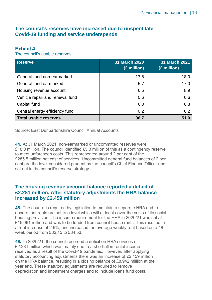#### **The council's reserves have increased due to unspent late Covid-19 funding and service underspends**

#### **Exhibit 4**

The council's usable reserves

| <b>Reserve</b>                  | 31 March 2020<br>(£ million) | 31 March 2021<br>(£ million) |
|---------------------------------|------------------------------|------------------------------|
| General fund non-earmarked      | 17.8                         | 18.0                         |
| General fund earmarked          | 5.7                          | 17.0                         |
| Housing revenue account         | 6.5                          | 8.9                          |
| Vehicle repair and renewal fund | 0.6                          | 0.6                          |
| Capital fund                    | 6.0                          | 6.3                          |
| Central energy efficiency fund  | 0.2                          | 0.2                          |
| <b>Total usable reserves</b>    | 36.7                         | 51.0                         |

Source: East Dunbartonshire Council Annual Accounts

**44.** At 31 March 2021, non-earmarked or uncommitted reserves were £18.0 million. The council identified £5.3 million of this as a contingency reserve to meet unforeseen costs. This represented around 2 per cent of the £285.5 million net cost of services. Uncommitted general fund balances of 2 per cent are the level considered prudent by the council's Chief Finance Officer and set out in the council's reserve strategy.

#### **The housing revenue account balance reported a deficit of £2.281 million. After statutory adjustments the HRA balance increased by £2.459 million**

**45.** The council is required by legislation to maintain a separate HRA and to ensure that rents are set to a level which will at least cover the costs of its social housing provision. The income requirement for the HRA in 2020/21 was set at £15.061 million and was to be funded from council house rents. This resulted in a rent increase of 2.9%, and increased the average weekly rent based on a 48 week period from £82.15 to £84.53.

**46.** In 2020/21, the council recorded a deficit on HRA services of £2.281 million which was mainly due to a shortfall in rental income received as a result of the Covid-19 pandemic. However, after applying statutory accounting adjustments there was an increase of £2.459 million on the HRA balance, resulting in a closing balance of £8.942 million at the year end. These statutory adjustments are required to remove depreciation and impairment charges and to include loans fund costs,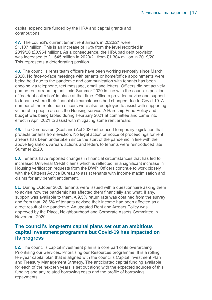capital expenditure funded by the HRA and capital grants and contributions.

**47.** The council's current tenant rent arrears in 2020/21 were £1.107 million. This is an increase of 16% from the level recorded in 2019/20 (£0.954 million). As a consequence, the HRA bad debt provision was increased to £1.645 million in 2020/21 from £1.304 million in 2019/20. This represents a deteriorating position.

**48.** The council's rents team officers have been working remotely since March 2020. No face-to-face meetings with tenants or home/office appointments were being held due to the pandemic and communication with tenants has been ongoing via telephone, text message, email and letters. Officers did not actively pursue rent arrears up until mid-Summer 2020 in line with the council's position of 'no debt collection' in place at that time. Officers provided advice and support to tenants where their financial circumstances had changed due to Covid-19. A number of the rents team officers were also redeployed to assist with supporting vulnerable people across the Housing service. A Hardship Fund Policy and budget was being tabled during February 2021 at committee and came into effect in April 2021 to assist with mitigating some rent arrears.

**49.** The Coronavirus (Scotland) Act 2020 introduced temporary legislation that protects tenants from eviction. No legal action or notice of proceedings for rent arrears has been undertaken since the start of the pandemic in line with the above legislation. Arrears actions and letters to tenants were reintroduced late Summer 2020.

**50.** Tenants have reported changes in financial circumstances that has led to increased Universal Credit claims which is reflected, in a significant increase in Housing verification requests from the DWP. Officers continue to work closely with the Citizens Advice Bureau to assist tenants with income maximisation and claims for any benefit entitlement.

**51.** During October 2020, tenants were issued with a questionnaire asking them to advise how the pandemic has affected them financially and what, if any, support was available to them. A 9.5% return rate was obtained from the survey and from that, 28.6% of tenants advised their income had been affected as a direct result of the pandemic. An updated Rent and Arrears Policy was approved by the Place, Neighbourhood and Corporate Assets Committee in November 2020.

#### **The council's long-term capital plans set out an ambitious capital investment programme but Covid-19 has impacted on its progress**

**52.** The council's capital investment plan is a core part of its overarching Prioritising our Services, Prioritising our Resources programme. It is a rolling ten-year capital plan that is aligned with the council's Capital Investment Plan and Treasury Management Strategy. The anticipated capital funding available for each of the next ten years is set out along with the expected sources of this funding and any related borrowing costs and the profile of borrowing repayments.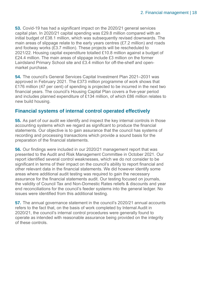**53.** Covid-19 has had a significant impact on the 2020/21 general services capital plan. In 2020/21 capital spending was £29.8 million compared with an initial budget of £38.1 million, which was subsequently revised downwards. The main areas of slippage relate to the early years centres (£7.2 million) and roads and footway works (£3.7 million). These projects will be rescheduled to 2021/22. Housing capital expenditure totalled £10.8 million against a budget of £24.4 million. The main areas of slippage include £3 million on the former Lairdsland Primary School site and £3.4 million for off-the-shelf and openmarket purchase.

**54.** The council's General Services Capital Investment Plan 2021–2031 was approved in February 2021. The £373 million programme of work shows that £176 million (47 per cent) of spending is projected to be incurred in the next two financial years. The council's Housing Capital Plan covers a five-year period and includes planned expenditure of £134 million, of which £86 million relates to new build housing.

#### **Financial systems of internal control operated effectively**

**55.** As part of our audit we identify and inspect the key internal controls in those accounting systems which we regard as significant to produce the financial statements. Our objective is to gain assurance that the council has systems of recording and processing transactions which provide a sound basis for the preparation of the financial statements.

**56.** Our findings were included in our 2020/21 management report that was presented to the Audit and Risk Management Committee in October 2021. Our report identified several control weaknesses, which we do not consider to be significant in terms of their impact on the council's ability to report financial and other relevant data in the financial statements. We did however identify some areas where additional audit testing was required to gain the necessary assurance for the financial statements audit. Our testing focused on journals, the validity of Council Tax and Non-Domestic Rates reliefs & discounts and year end reconciliations for the council's feeder systems into the general ledger. No issues were identified from this additional testing.

**57.** The annual governance statement in the council's 2020/21 annual accounts refers to the fact that, on the basis of work completed by Internal Audit in 2020/21, the council's internal control procedures were generally found to operate as intended with reasonable assurance being provided on the integrity of these controls.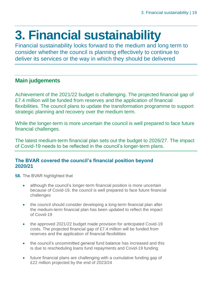## <span id="page-18-0"></span>**3. Financial sustainability**

Financial sustainability looks forward to the medium and long term to consider whether the council is planning effectively to continue to deliver its services or the way in which they should be delivered

#### **Main judgements**

Achievement of the 2021/22 budget is challenging. The projected financial gap of £7.4 million will be funded from reserves and the application of financial flexibilities. The council plans to update the transformation programme to support strategic planning and recovery over the medium term.

While the longer-term is more uncertain the council is well prepared to face future financial challenges.

The latest medium-term financial plan sets out the budget to 2026/27. The impact of Covid-19 needs to be reflected in the council's longer-term plans.

#### **The BVAR covered the council's financial position beyond 2020/21**

- **58.** The BVAR highlighted that
	- although the council's longer-term financial position is more uncertain because of Covid-19, the council is well prepared to face future financial challenges
	- the council should consider developing a long-term financial plan after the medium-term financial plan has been updated to reflect the impact of Covid-19
	- the approved 2021/22 budget made provision for anticipated Covid-19 costs. The projected financial gap of £7.4 million will be funded from reserves and the application of financial flexibilities
	- the council's uncommitted general fund balance has increased and this is due to rescheduling loans fund repayments and Covid-19 funding
	- future financial plans are challenging with a cumulative funding gap of £22 million projected by the end of 2023/24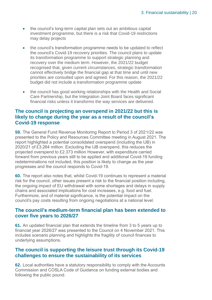- the council's long-term capital plan sets out an ambitious capital investment programme, but there is a risk that Covid-19 restrictions may delay projects
- the council's transformation programme needs to be updated to reflect the council's Covid-19 recovery priorities. The council plans to update its transformation programme to support strategic planning and recovery over the medium term. However, the 2021/22 budget recognised that, given current circumstances, strategic transformation cannot effectively bridge the financial gap at that time and until new priorities are consulted upon and agreed. For this reason, the 2021/22 budget did not include a transformation programme update
- the council has good working relationships with the Health and Social Care Partnership, but the Integration Joint Board faces significant financial risks unless it transforms the way services are delivered.

#### **The council is projecting an overspend in 2021/22 but this is likely to change during the year as a result of the council's Covid-19 response**

**59.** The General Fund Revenue Monitoring Report to Period 3 of 2021/22 was presented to the Policy and Resources Committee meeting in August 2021. The report highlighted a potential consolidated overspend (including the IJB) in 2020/21 of £3.264 million. Excluding the IJB overspend, this reduces the projected overspend to £2.373 million However, with expenditure carried forward from previous years still to be applied and additional Covid-19 funding redeterminations not included, this position is likely to change as the year progresses and the council responds to Covid-19.

**60.** The report also notes that, whilst Covid-19 continues to represent a material risk for the council, other issues present a risk to the financial position including, the ongoing impact of EU withdrawal with some shortages and delays in supply chains and associated implications for cost increases, e.g. food and fuel. Furthermore, and of material significance, is the potential impact on the council's pay costs resulting from ongoing negotiations at a national level.

#### **The council's medium-term financial plan has been extended to cover five years to 2026/27**

**61.** An updated financial plan that extends the timeline from 3 to 5 years up to financial year 2026/27 was presented to the Council on 4 November 2021. This includes scenario planning and highlights the fragility of council finances to underlying assumptions.

#### **The council is supporting the leisure trust through its Covid-19 challenges to ensure the sustainability of its services**

**62.** Local authorities have a statutory responsibility to comply with the Accounts Commission and COSLA Code of Guidance on funding external bodies and following the public pound.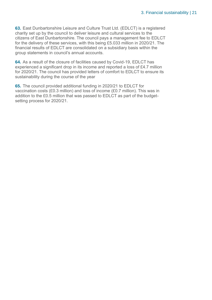**63.** East Dunbartonshire Leisure and Culture Trust Ltd. (EDLCT) is a registered charity set up by the council to deliver leisure and cultural services to the citizens of East Dunbartonshire. The council pays a management fee to EDLCT for the delivery of these services, with this being £5.033 million in 2020/21. The financial results of EDLCT are consolidated on a subsidiary basis within the group statements in council's annual accounts.

**64.** As a result of the closure of facilities caused by Covid-19, EDLCT has experienced a significant drop in its income and reported a loss of £4.7 million for 2020/21. The council has provided letters of comfort to EDLCT to ensure its sustainability during the course of the year

**65.** The council provided additional funding in 2020/21 to EDLCT for vaccination costs (£0.3 million) and loss of income (£0.7 million). This was in addition to the £0.5 million that was passed to EDLCT as part of the budgetsetting process for 2020/21.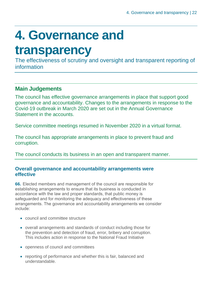## <span id="page-21-0"></span>**4. Governance and**

### **transparency**

The effectiveness of scrutiny and oversight and transparent reporting of information

### **Main Judgements**

The council has effective governance arrangements in place that support good governance and accountability. Changes to the arrangements in response to the Covid-19 outbreak in March 2020 are set out in the Annual Governance Statement in the accounts.

Service committee meetings resumed in November 2020 in a virtual format.

The council has appropriate arrangements in place to prevent fraud and corruption.

The council conducts its business in an open and transparent manner.

#### **Overall governance and accountability arrangements were effective**

**66.** Elected members and management of the council are responsible for establishing arrangements to ensure that its business is conducted in accordance with the law and proper standards, that public money is safeguarded and for monitoring the adequacy and effectiveness of these arrangements. The governance and accountability arrangements we consider include:

- council and committee structure
- overall arrangements and standards of conduct including those for the prevention and detection of fraud, error, bribery and corruption. This includes action in response to the National Fraud Initiative
- openness of council and committees
- reporting of performance and whether this is fair, balanced and understandable.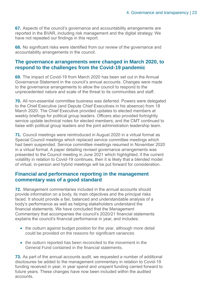**67.** Aspects of the council's governance and accountability arrangements are reported in the BVAR, including risk management and the digital strategy. We have not repeated our findings in this report.

**68.** No significant risks were identified from our review of the governance and accountability arrangements in the council.

#### **The governance arrangements were changed in March 2020, to respond to the challenges from the Covid-19 pandemic**

**69.** The impact of Covid-19 from March 2020 has been set out in the Annual Governance Statement in the council's annual accounts. Changes were made to the governance arrangements to allow the council to respond to the unprecedented nature and scale of the threat to its communities and staff.

**70.** All non-essential committee business was deferred. Powers were delegated to the Chief Executive (and Depute Chief Executives in his absence) from 18 March 2020. The Chief Executive provided updates to elected members at weekly briefings for political group leaders. Officers also provided fortnightly service update technical notes for elected members; and the CMT continued to liaise with political group leaders and the joint administration leadership team.

**71.** Council meetings were reintroduced in August 2020 in a virtual format as Special Council meetings which replaced service committee meetings which had been suspended. Service committee meetings resumed in November 2020 in a virtual format. A paper detailing revised governance arrangements was presented to the Council meeting in June 2021 which highlighted, if the current volatility in relation to Covid-19 continues, then it is likely that a blended model of virtual, in-person and hybrid meetings will be put forward for consideration.

#### **Financial and performance reporting in the management commentary was of a good standard**

**72.** Management commentaries included in the annual accounts should provide information on a body, its main objectives and the principal risks faced. It should provide a fair, balanced and understandable analysis of a body's performance as well as helping stakeholders understand the financial statements. We have concluded that the Management Commentary that accompanies the council's 2020/21 financial statements explains the council's financial performance in year, and includes:

- the outturn against budget position for the year, although more detail could be provided on the reasons for significant variances
- the outturn reported has been reconciled to the movement in the General Fund contained in the financial statements.

**73.** As part of the annual accounts audit, we requested a number of additional disclosures be added to the management commentary in relation to Covid-19 funding received in year, in year spend and unspent funding carried forward to future years. These changes have now been included within the audited accounts.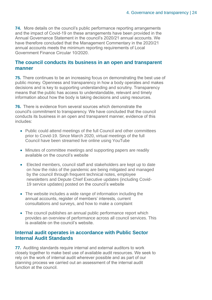**74.** More details on the council's public performance reporting arrangements and the impact of Covid-19 on these arrangements have been provided in the Annual Governance Statement in the council's 2020/21 annual accounts. We have therefore concluded that the Management Commentary in the 2020/21 annual accounts meets the minimum reporting requirements of Local Government Finance Circular 10/2020.

#### **The council conducts its business in an open and transparent manner**

**75.** There continues to be an increasing focus on demonstrating the best use of public money. Openness and transparency in how a body operates and makes decisions and is key to supporting understanding and scrutiny. Transparency means that the public has access to understandable, relevant and timely information about how the body is taking decisions and using resources.

**76.** There is evidence from several sources which demonstrate the council's commitment to transparency. We have concluded that the council conducts its business in an open and transparent manner, evidence of this includes:

- Public could attend meetings of the full Council and other committees prior to Covid-19. Since March 2020, virtual meetings of the full Council have been streamed live online using YouTube
- Minutes of committee meetings and supporting papers are readily available on the council's website
- Elected members, council staff and stakeholders are kept up to date on how the risks of the pandemic are being mitigated and managed by the council through frequent technical notes, employee newsletters and Depute Chief Executive updates (including Covid-19 service updates) posted on the council's website
- The website includes a wide range of information including the annual accounts, register of members' interests, current consultations and surveys, and how to make a complaint
- The council publishes an annual public performance report which provides an overview of performance across all council services. This is available on the council's website.

#### **Internal audit operates in accordance with Public Sector Internal Audit Standards**

**77.** Auditing standards require internal and external auditors to work closely together to make best use of available audit resources. We seek to rely on the work of internal audit wherever possible and as part of our planning process we carried out an assessment of the internal audit function at the council.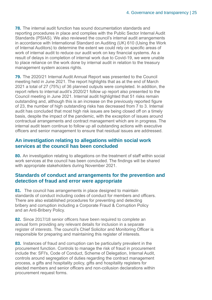**78.** The internal audit function has sound documentation standards and reporting procedures in place and complies with the Public Sector Internal Audit Standards (PSIAS). We also reviewed the council's internal audit arrangements in accordance with International Standard on Auditing (UK) 610 (Using the Work of Internal Auditors) to determine the extent we could rely on specific areas of work of internal audit to reduce our audit work on key financial systems. As a result of delays in completion of internal work due to Covid-19, we were unable to place reliance on the work done by internal audit in relation to the treasury management system access rights.

**79.** The 2020/21 Internal Audit Annual Report was presented to the Council meeting held in June 2021. The report highlights that as at the end of March 2021 a total of 27 (75%) of 36 planned outputs were completed. In addition, the report refers to internal audit's 2020/21 follow up report also presented to the Council meeting in June 2021. Internal audit highlighted that 51 risks remain outstanding and, although this is an increase on the previously reported figure of 23, the number of high outstanding risks has decreased from 7 to 3. Internal audit has concluded that most high risk issues are being closed off on a timely basis, despite the impact of the pandemic, with the exception of issues around contractual arrangements and contract management which are in progress. The internal audit team continue to follow up all outstanding actions with executive officers and senior management to ensure that residual issues are addressed.

#### **An investigation relating to allegations within social work services at the council has been concluded**

**80.** An investigation relating to allegations on the treatment of staff within social work services at the council has been concluded. The findings will be shared with appropriate stakeholders during November 2021.

#### **Standards of conduct and arrangements for the prevention and detection of fraud and error were appropriate**

**81.** The council has arrangements in place designed to maintain standards of conduct including codes of conduct for members and officers. There are also established procedures for preventing and detecting bribery and corruption including a Corporate Fraud & Corruption Policy and an Anti-Bribery Policy.

**82.** Since 2017/18 senior officers have been required to complete an annual form providing any relevant details for inclusion in a separate register of interests. The council's Chief Solicitor and Monitoring Officer is responsible for preparing and maintaining this register of interests.

**83.** Instances of fraud and corruption can be particularly prevalent in the procurement function. Controls to manage the risk of fraud in procurement include the: SFI's, Code of Conduct, Scheme of Delegation, Internal Audit, controls around segregation of duties regarding the contract management process, a gifts and hospitality policy, gifts and hospitality registers for elected members and senior officers and non-collusion declarations within procurement request forms.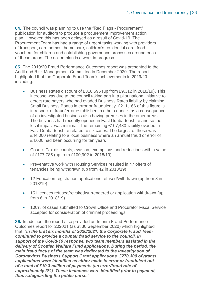**84.** The council was planning to use the "Red Flags - Procurement" publication for auditors to produce a procurement improvement action plan. However, this has been delayed as a result of Covid-19. The Procurement Team has had a range of urgent tasks working with providers of transport, care homes, home care, children's residential care, food vouchers for children and establishing governance processes around each of these areas. The action plan is a work in progress.

**85.** The 2019/20 Fraud Performance Outcomes report was presented to the Audit and Risk Management Committee in December 2020. The report highlighted that the Corporate Fraud Team's achievements in 2019/20 including:

- Business Rates discount of £318,596 (up from £9,312 in 2018/19). This increase was due to the council taking part in a pilot national initiative to detect rate payers who had evaded Business Rates liability by claiming Small Business Bonus in error or fraudulently. £211,166 of this figure is in respect of fraud/error established in other councils as a consequence of an investigated business also having premises in the other areas. The business had recently opened in East Dunbartonshire and so the local impact was minimal. The remaining £107,430 liability evaded in East Dunbartonshire related to six cases. The largest of these was £44,000 relating to a local business where an annual fraud or error of £4,000 had been occurring for ten years
- Council Tax discounts, evasion, exemptions and reductions with a value of £177,785 (up from £100,902 in 2018/19)
- Preventative work with Housing Services resulted in 47 offers of tenancies being withdrawn (up from 42 in 2018/19)
- 12 Education registration applications refused/withdrawn (up from 8 in 2018/19)
- 15 Licences refused/revoked/surrendered or application withdrawn (up from 6 in 2018/19)
- 100% of cases submitted to Crown Office and Procurator Fiscal Service accepted for consideration of criminal proceedings.

**86.** In addition, the report also provided an Interim Fraud Performance Outcomes report for 202021 (as at 30 September 2020) which highlighted that, "*In the first six months of 2020/2021, the Corporate Fraud Team continued to provide a counter fraud service to the council. In support of the Covid-19 response, two team members assisted in the delivery of Scottish Welfare Fund applications. During the period, the main fraud focus of the team was dedicated to the investigation of Coronavirus Business Support Grant applications. £270,300 of grants applications were identified as either made in error or fraudulent out of a total of £10.3 million of payments (an error/fraud rate of approximately 3%). These instances were identified prior to payment, thus safeguarding the public purse.*"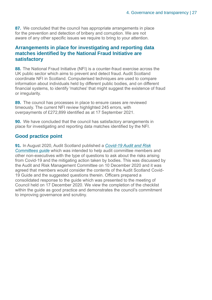**87.** We concluded that the council has appropriate arrangements in place for the prevention and detection of bribery and corruption. We are not aware of any other specific issues we require to bring to your attention.

#### **Arrangements in place for investigating and reporting data matches identified by the National Fraud Initiative are satisfactory**

**88.** The National Fraud Initiative (NFI) is a counter-fraud exercise across the UK public sector which aims to prevent and detect fraud. Audit Scotland coordinate NFI in Scotland. Computerised techniques are used to compare information about individuals held by different public bodies, and on different financial systems, to identify 'matches' that might suggest the existence of fraud or irregularity.

**89.** The council has processes in place to ensure cases are reviewed timeously. The current NFI review highlighted 245 errors, with overpayments of £272,899 identified as at 17 September 2021.

**90.** We have concluded that the council has satisfactory arrangements in place for investigating and reporting data matches identified by the NFI.

#### **Good practice point**

**91.** In August 2020, Audit Scotland published a *[Covid-19 Audit and Risk](https://www.audit-scotland.gov.uk/report/covid-19-guide-for-audit-and-risk-committees)  [Committees guide](https://www.audit-scotland.gov.uk/report/covid-19-guide-for-audit-and-risk-committees)* which was intended to help audit committee members and other non-executives with the type of questions to ask about the risks arising from Covid-19 and the mitigating action taken by bodies. This was discussed by the Audit and Risk Management Committee on 10 December 2020 and it was agreed that members would consider the contents of the Audit Scotland Covid-19 Guide and the suggested questions therein. Officers prepared a consolidated response to the guide which was presented to the meeting of Council held on 17 December 2020. We view the completion of the checklist within the guide as good practice and demonstrates the council's commitment to improving governance and scrutiny.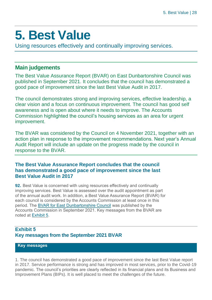### <span id="page-27-0"></span>**5. Best Value**

Using resources effectively and continually improving services.

### **Main judgements**

The Best Value Assurance Report (BVAR) on East Dunbartonshire Council was published in September 2021. It concludes that the council has demonstrated a good pace of improvement since the last Best Value Audit in 2017.

The council demonstrates strong and improving services, effective leadership, a clear vision and a focus on continuous improvement. The council has good self awareness and is open about where it needs to improve. The Accounts Commission highlighted the council's housing services as an area for urgent improvement.

The BVAR was considered by the Council on 4 November 2021, together with an action plan in response to the improvement recommendations. Next year's Annual Audit Report will include an update on the progress made by the council in response to the BVAR.

#### **The Best Value Assurance Report concludes that the council has demonstrated a good pace of improvement since the last Best Value Audit in 2017**

**92.** Best Value is concerned with using resources effectively and continually improving services. Best Value is assessed over the audit appointment as part of the annual audit work. In addition, a Best Value Assurance Report (BVAR) for each council is considered by the Accounts Commission at least once in this period. The [BVAR for East Dunbartonshire Council](https://www.audit-scotland.gov.uk/uploads/docs/report/2021/bv_210929_east_dun.pdf) was published by the Accounts Commission in September 2021. Key messages from the BVAR are noted at Exhibit 5.

#### **Exhibit 5 Key messages from the September 2021 BVAR**

#### **Key messages**

1. The council has demonstrated a good pace of improvement since the last Best Value report in 2017. Service performance is strong and has improved in most services, prior to the Covid-19 pandemic. The council's priorities are clearly reflected in its financial plans and its Business and Improvement Plans (BIPs). It is well placed to meet the challenges of the future.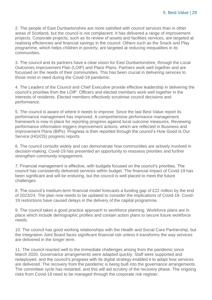2. The people of East Dunbartonshire are more satisfied with council services than in other areas of Scotland, but the council is not complacent. It has delivered a range of improvement projects. Corporate projects, such as its review of assets and facilities services, are targeted at realising efficiencies and financial savings in the council. Others such as the Snack and Play programme, which helps children in poverty, are targeted at reducing inequalities in its communities.

3. The council and its partners have a clear vision for East Dunbartonshire, through the Local Outcomes Improvement Plan (LOIP) and Place Plans. Partners work well together and are focussed on the needs of their communities. This has been crucial in delivering services to those most in need during the Covid-19 pandemic.

4. The Leaders of the Council and Chief Executive provide effective leadership in delivering the council's priorities from the LOIP. Officers and elected members work well together in the interests of residents. Elected members effectively scrutinise council decisions and performance.

5. The council is aware of where it needs to improve. Since the last Best Value report its performance management has improved. A comprehensive performance management framework is now in place for reporting progress against local outcome measures. Reviewing performance information triggers improvement actions, which are reflected in Business and Improvement Plans (BIPs). Progress is then reported through the council's How Good Is Our Service (HGIOS) progress reports.

6. The council consults widely and can demonstrate how communities are actively involved in decision-making. Covid-19 has presented an opportunity to reassess priorities and further strengthen community engagement.

7. Financial management is effective, with budgets focused on the council's priorities. The council has consistently delivered services within budget. The financial impact of Covid-19 has been significant and will be enduring, but the council is well placed to meet the future challenges.

8. The council's medium-term financial model forecasts a funding gap of £22 million by the end of 2023/24. The plan now needs to be updated to consider the implications of Covid-19. Covid-19 restrictions have caused delays in the delivery of the capital programme.

9. The council takes a good practice approach to workforce planning. Workforce plans are in place which include demographic profiles and contain action plans to secure future workforce needs.

10. The council has good working relationships with the Health and Social Care Partnership, but the Integration Joint Board faces significant financial risk unless it transforms the way services are delivered in the longer term.

11. The council reacted well to the immediate challenges arising from the pandemic since March 2020. Governance arrangements were adapted quickly. Staff were supported and redeployed, and the council's progress with its digital strategy enabled it to adapt how services are delivered. The recovery from the pandemic is being built into the governance arrangements. The committee cycle has restarted, and this will aid scrutiny of the recovery phase. The ongoing risks from Covid-19 need to be managed through the corporate risk register.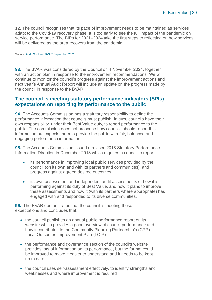12. The council recognises that its pace of improvement needs to be maintained as services adapt to the Covid-19 recovery phase. It is too early to see the full impact of the pandemic on service performance. The BIPs for 2021–2024 take the first steps to reflecting on how services will be delivered as the area recovers from the pandemic.

#### Source[: Audit Scotland BVAR September 2021](https://www.audit-scotland.gov.uk/uploads/docs/report/2021/bv_210929_east_dun.pdf)

**93.** The BVAR was considered by the Council on 4 November 2021, together with an action plan in response to the improvement recommendations. We will continue to monitor the council's progress against the improvement actions and next year's Annual Audit Report will include an update on the progress made by the council in response to the BVAR.

#### **The council is meeting statutory performance indicators (SPIs) expectations on reporting its performance to the public**

**94.** The Accounts Commission has a statutory responsibility to define the performance information that councils must publish. In turn, councils have their own responsibility, under their Best Value duty, to report performance to the public. The commission does not prescribe how councils should report this information but expects them to provide the public with fair, balanced and engaging performance information.

**95.** The Accounts Commission issued a revised 2018 Statutory Performance Information Direction in December 2018 which requires a council to report:

- its performance in improving local public services provided by the council (on its own and with its partners and communities), and progress against agreed desired outcomes
- its own assessment and independent audit assessments of how it is performing against its duty of Best Value, and how it plans to improve these assessments and how it (with its partners where appropriate) has engaged with and responded to its diverse communities.

**96.** The BVAR demonstrates that the council is meeting these expectations and concludes that:

- the council publishes an annual public performance report on its website which provides a good overview of council performance and how it contributes to the Community Planning Partnership's (CPP) Local Outcomes Improvement Plan (LOIP)
- the performance and governance section of the council's website provides lots of information on its performance, but the format could be improved to make it easier to understand and it needs to be kept up to date
- the council uses self-assessment effectively, to identify strengths and weaknesses and where improvement is required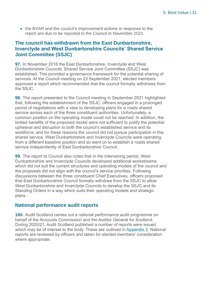• the BVAR and the council's improvement actions in response to the report are due to be reported to the Council in November 2021.

#### **The council has withdrawn from the East Dunbartonshire, Inverclyde and West Dunbartonshire Councils' Shared Service Joint Committee (SSJC)**

**97.** In November 2016 the East Dunbartonshire, Inverclyde and West Dunbartonshire Councils' Shared Service Joint Committee (SSJC) was established. This provided a governance framework for the potential sharing of services. At the Council meeting on 23 September 2021, elected members approved a report which recommended that the council formally withdraws from the SSJC.

**98.** The report presented to the Council meeting in September 2021 highlighted that, following the establishment of the SSJC, officers engaged in a prolonged period of negotiations with a view to developing plans for a roads shared service across each of the three constituent authorities. Unfortunately, a common position on the operating model could not be reached. In addition, the limited benefits of the proposed model were not sufficient to justify the potential upheaval and disruption to both the council's established service and its workforce, and for these reasons the council did not pursue participation in this shared service. West Dunbartonshire and Inverclyde Councils were operating from a different baseline position and so went on to establish a roads shared service independently of East Dunbartonshire Council.

**99.** The report to Council also notes that in the intervening period, West Dunbartonshire and Inverclyde Councils developed additional workstreams which did not suit the current structures and operating models of the council and the proposals did not align with the council's service priorities. Following discussions between the three constituent Chief Executives, officers proposed that East Dunbartonshire Council formally withdraw from the SSJC to allow West Dunbartonshire and Inverclyde Councils to develop the SSJC and its Standing Orders in a way which suits their operating models and strategic plans.

#### **National performance audit reports**

**100.** Audit Scotland carries out a national performance audit programme on behalf of the Accounts Commission and the Auditor General for Scotland. During 2020/21, Audit Scotland published a number of reports were issued which may be of interest to the body. These are outlined in [Appendix 3.](#page-38-0) National reports are reviewed by officers and taken for elected members' consideration where appropriate.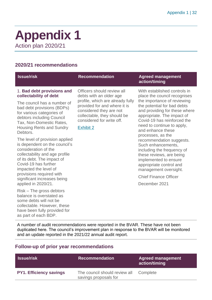### <span id="page-31-0"></span>**Appendix 1** Action plan 2020/21

#### **2020/21 recommendations**

| <b>Issue/risk</b>                                                                                                                                                                                        | <b>Recommendation</b>                                                                                                                                                       | <b>Agreed management</b><br>action/timing                                                                                                                                                                                                                                                                                                                                                                                 |
|----------------------------------------------------------------------------------------------------------------------------------------------------------------------------------------------------------|-----------------------------------------------------------------------------------------------------------------------------------------------------------------------------|---------------------------------------------------------------------------------------------------------------------------------------------------------------------------------------------------------------------------------------------------------------------------------------------------------------------------------------------------------------------------------------------------------------------------|
| 1. Bad debt provisions and<br>collectability of debt                                                                                                                                                     | Officers should review all<br>debts with an older age                                                                                                                       | With established controls in<br>place the council recognises                                                                                                                                                                                                                                                                                                                                                              |
| The council has a number of<br>bad debt provisions (BDPs)<br>for various categories of<br>debtors including Council<br>Tax, Non-Domestic Rates,<br><b>Housing Rents and Sundry</b><br>Debtors.           | profile, which are already fully<br>provided for and where it is<br>considered they are not<br>collectable, they should be<br>considered for write off.<br><b>Exhibit 2</b> | the importance of reviewing<br>the potential for bad debts<br>and providing for these where<br>appropriate. The impact of<br>Covid-19 has reinforced the<br>need to continue to apply,<br>and enhance these<br>processes, as the<br>recommendation suggests.<br>Such enhancements,<br>including the frequency of<br>these reviews, are being<br>implemented to ensure<br>appropriate control and<br>management oversight. |
| The level of provision applied<br>is dependent on the council's<br>consideration of the<br>collectability and age profile<br>of its debt. The impact of<br>Covid-19 has further<br>impacted the level of |                                                                                                                                                                             |                                                                                                                                                                                                                                                                                                                                                                                                                           |
| provisions required with<br>significant increases being                                                                                                                                                  |                                                                                                                                                                             | <b>Chief Finance Officer</b>                                                                                                                                                                                                                                                                                                                                                                                              |
| applied in 2020/21.                                                                                                                                                                                      |                                                                                                                                                                             | December 2021                                                                                                                                                                                                                                                                                                                                                                                                             |
| $Risk$ – The gross debtors<br>balance is overstated as                                                                                                                                                   |                                                                                                                                                                             |                                                                                                                                                                                                                                                                                                                                                                                                                           |

A number of audit recommendations were reported in the BVAR. These have not been duplicated here. The council's improvement plan in response to the BVAR will be monitored and an update reported in the 2021/22 annual audit report.

#### **Follow-up of prior year recommendations**

some debts will not be collectable. However, these have been fully provided for

as part of each BDP.

| <b>S</b> Issue/risk            | <b>Recommendation</b>                                           | <b>Agreed management</b><br>action/timing |
|--------------------------------|-----------------------------------------------------------------|-------------------------------------------|
| <b>PY1. Efficiency savings</b> | The council should review all Complete<br>savings proposals for |                                           |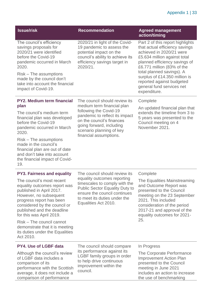#### Appendix 1 | 33

| <b>Issue/risk</b>                                                                                                                                                                                                                                                                                                                                                                         | <b>Recommendation</b>                                                                                                                                                                                                                  | <b>Agreed management</b><br>action/timing                                                                                                                                                                                                                                                                                             |
|-------------------------------------------------------------------------------------------------------------------------------------------------------------------------------------------------------------------------------------------------------------------------------------------------------------------------------------------------------------------------------------------|----------------------------------------------------------------------------------------------------------------------------------------------------------------------------------------------------------------------------------------|---------------------------------------------------------------------------------------------------------------------------------------------------------------------------------------------------------------------------------------------------------------------------------------------------------------------------------------|
| The council's efficiency<br>savings proposals for<br>2020/21 were identified<br>before the Covid-19<br>pandemic occurred in March<br>2020.<br>Risk – The assumptions<br>made by the council don't<br>take into account the financial<br>impact of Covid-19.                                                                                                                               | 2020/21 in light of the Covid-<br>19 pandemic to assess the<br>potential impact on the<br>council's ability to achieve its<br>efficiency savings target in<br>2020/21.                                                                 | Part 2 of this report highlights<br>that actual efficiency savings<br>achieved in 2020/21 were<br>£5.634 million against total<br>planned efficiency savings of<br>£6.771 million (83% of the<br>total planned savings). A<br>surplus of £14.350 million is<br>reported against budgeted<br>general fund services net<br>expenditure. |
| <b>PY2. Medium term financial</b><br>plan<br>The council's medium term<br>financial plan was developed<br>before the Covid-19<br>pandemic occurred in March<br>2020.<br>Risk – The assumptions<br>made in the council's<br>financial plan are out of date<br>and don't take into account<br>the financial impact of Covid-<br>19.                                                         | The council should review its<br>medium term financial plan<br>following the Covid-19<br>pandemic to reflect its impact<br>on the council's finances<br>going forward, including<br>scenario planning of key<br>financial assumptions. | Complete<br>An updated financial plan that<br>extends the timeline from 3 to<br>5 years was presented to the<br>Council meeting on 4<br>November 2021.                                                                                                                                                                                |
| <b>PY3. Fairness and equality</b><br>The council's most recent<br>equality outcomes report was<br>published in April 2017.<br>However, no subsequent<br>progress report has been<br>considered by the council or<br>published and the deadline<br>for this was April 2019.<br>Risk – The council cannot<br>demonstrate that it is meeting<br>its duties under the Equalities<br>Act 2010. | The council should review its<br>equality outcomes reporting<br>timescales to comply with the<br><b>Public Sector Equality Duty to</b><br>ensure the council continues<br>to meet its duties under the<br>Equalities Act 2010.         | Complete<br>The Equalities Mainstreaming<br>and Outcome Report was<br>presented to the Council<br>meeting on the 23 September<br>2021. This included<br>consideration of the period<br>2017-21 and approval of the<br>equality outcomes for 2021-<br>25.                                                                              |
| <b>PY4. Use of LGBF data</b>                                                                                                                                                                                                                                                                                                                                                              | The council should compare                                                                                                                                                                                                             | In Progress                                                                                                                                                                                                                                                                                                                           |
| Although the council's review<br>of LGBF data includes a<br>comparison of its<br>performance with the Scottish<br>average, it does not include a<br>comparison of performance                                                                                                                                                                                                             | its performance against its<br>LGBF family groups in order<br>to help drive continuous<br>improvement within the<br>council.                                                                                                           | The Corporate Performance<br><b>Improvement Action Plan</b><br>presented to the Council<br>meeting in June 2021<br>includes an action to increase<br>the use of benchmarking                                                                                                                                                          |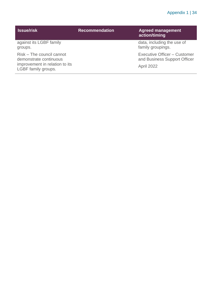#### Appendix 1 | 34

| <b>Issue/risk</b>                                                                                            | <b>Recommendation</b> | <b>Agreed management</b><br>action/timing                                         |
|--------------------------------------------------------------------------------------------------------------|-----------------------|-----------------------------------------------------------------------------------|
| against its LGBF family<br>groups.                                                                           |                       | data, including the use of<br>family groupings.                                   |
| Risk – The council cannot<br>demonstrate continuous<br>improvement in relation to its<br>LGBF family groups. |                       | Executive Officer - Customer<br>and Business Support Officer<br><b>April 2022</b> |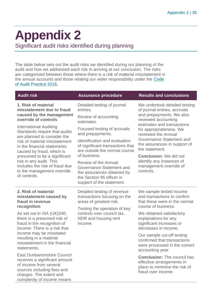## <span id="page-34-0"></span>**Appendix 2**

Significant audit risks identified during planning

The table below sets out the audit risks we identified during our planning of the audit and how we addressed each risk in arriving at our conclusion. The risks are categorised between those where there is a risk of material misstatement in the annual accounts and those relating our wider responsibility under the [Code](http://www.audit-scotland.gov.uk/report/code-of-audit-practice-2016)  [of Audit Practice 2016.](http://www.audit-scotland.gov.uk/report/code-of-audit-practice-2016)

| <b>Audit risk</b>                                                                                                                                                                                                                                                                                                                     | <b>Assurance procedure</b>                                                                                                                                                                                                                                                                                               | <b>Results and conclusions</b>                                                                                                                                                                                                                                                                                                                                                             |
|---------------------------------------------------------------------------------------------------------------------------------------------------------------------------------------------------------------------------------------------------------------------------------------------------------------------------------------|--------------------------------------------------------------------------------------------------------------------------------------------------------------------------------------------------------------------------------------------------------------------------------------------------------------------------|--------------------------------------------------------------------------------------------------------------------------------------------------------------------------------------------------------------------------------------------------------------------------------------------------------------------------------------------------------------------------------------------|
| 1. Risk of material<br>misstatement due to fraud<br>caused by the management<br>override of controls                                                                                                                                                                                                                                  | Detailed testing of journal<br>entries.<br>Review of accounting<br>estimates.                                                                                                                                                                                                                                            | We undertook detailed testing<br>of journal entries, accruals<br>and prepayments. We also<br>reviewed accounting<br>estimates and transactions<br>for appropriateness. We<br>reviewed the Annual<br><b>Governance Statement and</b><br>the assurances in support of<br>the statement.<br><b>Conclusion:</b> We did not<br>identify any instances of<br>management override of<br>controls. |
| <b>International Auditing</b><br>Standards require that audits<br>are planned to consider the<br>risk of material misstatement<br>in the financial statements<br>caused by fraud, which is<br>presumed to be a significant<br>risk in any audit. This<br>includes the risk of fraud due<br>to the management override<br>of controls. | Focused testing of accruals<br>and prepayments.<br>Identification and evaluation<br>of significant transactions that<br>are outside the normal course<br>of business.<br>Review of the Annual<br><b>Governance Statement and</b><br>the assurances obtained by<br>the Section 95 officer in<br>support of the statement. |                                                                                                                                                                                                                                                                                                                                                                                            |
| 2. Risk of material<br>misstatement caused by<br>fraud in revenue<br>recognition<br>As set out in ISA (UK)240,<br>there is a presumed risk of<br>fraud in the recognition of<br>income. There is a risk that<br>income may be misstated<br>resulting in a material<br>misstatement in the financial<br>statements.                    | Detailed testing of revenue<br>transactions focusing on the<br>areas of greatest risk.<br>Testing the operation of key<br>controls over council tax,<br>NDR and housing rent<br>income.                                                                                                                                  | We sample tested income<br>and transactions to confirm<br>that these were in the normal<br>course of business.<br>We obtained satisfactory<br>explanations for any<br>significant increases or<br>decreases in income.<br>Our sample cut-off testing<br>confirmed that transactions<br>were processed in the correct<br>accounting year.                                                   |
| <b>East Dunbartonshire Council</b><br>receives a significant amount<br>of income from several<br>sources including fees and<br>charges. The extent and<br>complexity of income means                                                                                                                                                  |                                                                                                                                                                                                                                                                                                                          | <b>Conclusion: The council has</b><br>effective arrangements in<br>place to minimise the risk of<br>fraud over income.                                                                                                                                                                                                                                                                     |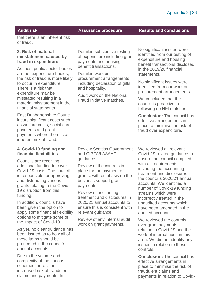**Audit risk Assurance procedure Results and conclusions**

that there is an inherent risk of fraud.

#### **3. Risk of material misstatement caused by fraud in expenditure**

As most public-sector bodies are net expenditure bodies, the risk of fraud is more likely to occur in expenditure. There is a risk that expenditure may be misstated resulting in a material misstatement in the financial statements.

East Dunbartonshire Council incurs significant costs such as welfare costs, social care payments and grant payments where there is an inherent risk of fraud.

Detailed substantive testing of expenditure including grant payments and housing benefit transactions.

Detailed work on procurement arrangements including declaration of gifts and hospitality.

Audit work on the National Fraud Initiative matches.

No significant issues were identified from our testing of expenditure and housing benefit transactions disclosed in the 2019/20 financial statements.

No significant issues were identified from our work on procurement arrangements.

We concluded that the council is proactive in following up NFI matches.

**Conclusion:** The council has effective arrangements in place to minimise the risk of fraud over expenditure.

#### **4. Covid-19 funding and financial flexibilities**

Councils are receiving additional funding to cover Covid-19 costs. The council is responsible for approving and distributing various grants relating to the Covid-19 disruption from this funding.

In addition, councils have been given the option to apply some financial flexibility options to mitigate some of the impact of Covid-19.

As yet, no clear guidance has been issued as to how all of these items should be presented in the council's annual accounts.

Due to the volume and complexity of the various schemes there is an increased risk of fraudulent claims and payments. In

Review Scottish Government and CIPFA/LASAAC guidance.

Review of the controls in place for the payment of grants, with emphasis on the business support grant payments.

Review of accounting treatment and disclosures in 2020/21 annual accounts to ensure this is consistent with relevant guidance.

Review of any internal audit work on grant payments.

We reviewed all relevant Covid-19 related guidance to ensure the council complied with all requirements. including the accounting treatment and disclosures in the council's 2020/21 annual accounts. We identified a number of Covid-19 funding streams which were incorrectly treated in the unaudited accounts which have been amended in the audited accounts.

We reviewed the controls over grant payments in relation to Covid-19 and the work of internal audit in this area. We did not identify any issues in relation to these controls.

**Conclusion:** The council has effective arrangements in place to minimise the risk of fraudulent claims and payments in relation to Covid-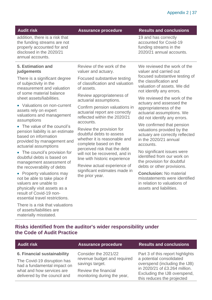#### **Audit risk Assurance procedure Results and conclusions**

19 and has correctly accounted for Covid-19 funding streams in the 2020/21 annual accounts.

addition, there is a risk that the funding streams are not properly accounted for and disclosed in the 2020/21 annual accounts.

#### **5. Estimation and judgements**

There is a significant degree of subjectivity in the measurement and valuation of some material balance sheet assets/liabilities.

• Valuations on non-current assets rely on expert valuations and management assumptions

• The value of the council's pension liability is an estimate based on information provided by management and actuarial assumptions

• The council's provision for doubtful debts is based on management assessment of the recoverability of debts

• Property valuations may not be able to take place if valuers are unable to physically visit assets as a result of Covid-19 nonessential travel restrictions.

There is a risk that valuations of assets/liabilities are materially misstated.

Review of the work of the valuer and actuary.

Focused substantive testing of classification and valuation of assets.

Review appropriateness of actuarial assumptions.

Confirm pension valuations in actuarial report are correctly reflected within the 2020/21 accounts.

Review the provision for doubtful debts to assess whether it is reasonable and complete based on the perceived risk that the debt will not be recovered, and in line with historic experience

Review actual experience of significant estimates made in the prior year.

We reviewed the work of the valuer and carried out focused substantive testing of the classification and valuation of assets. We did not identify any errors.

We reviewed the work of the actuary and assessed the appropriateness of the actuarial assumptions. We did not identify any errors.

We confirmed that pension valuations provided by the actuary are correctly reflected in the 2020/21 annual accounts.

No significant issues were identified from our work on the provision for doubtful debts or other provisions.

**Conclusion:** No material misstatements were identified in relation to valuations of assets and liabilities.

#### **Risks identified from the auditor's wider responsibility under the Code of Audit Practice**

| <b>Audit risk</b>                                          | <b>Assurance procedure</b>                          | <b>Results and conclusions</b>                                                              |
|------------------------------------------------------------|-----------------------------------------------------|---------------------------------------------------------------------------------------------|
| 6. Financial sustainability                                | Consider the 2021/22                                | Part 3 of this report highlights                                                            |
| The Covid-19 disruption has<br>had a fundamental impact on | revenue budget and required<br>savings target.      | a potential consolidated<br>overspend (including the IJB)                                   |
| what and how services are<br>delivered by the council and  | Review the financial<br>monitoring during the year, | in 2020/21 of £3.264 million.<br>Excluding the IJB overspend,<br>this reduces the projected |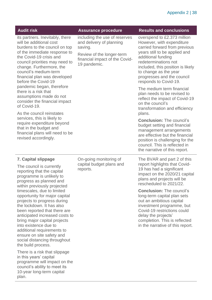| <b>Audit risk</b>                                                                                                                                                                                                                                                                                                                                                                                                                                                                                                                                 | <b>Assurance procedure</b>                                                                                                                          | <b>Results and conclusions</b>                                                                                                                                                                                                                                                                                                                                                                                                           |
|---------------------------------------------------------------------------------------------------------------------------------------------------------------------------------------------------------------------------------------------------------------------------------------------------------------------------------------------------------------------------------------------------------------------------------------------------------------------------------------------------------------------------------------------------|-----------------------------------------------------------------------------------------------------------------------------------------------------|------------------------------------------------------------------------------------------------------------------------------------------------------------------------------------------------------------------------------------------------------------------------------------------------------------------------------------------------------------------------------------------------------------------------------------------|
| its partners. Inevitably, there<br>will be additional cost<br>burdens to the council on top<br>of the immediate response to<br>the Covid-19 crisis and<br>council priorities may need to<br>change. Furthermore, the<br>council's medium-term<br>financial plan was developed<br>before the Covid-19                                                                                                                                                                                                                                              | including the use of reserves<br>and delivery of planning<br>saving.<br>Review of the longer-term<br>financial impact of the Covid-<br>19 pandemic. | overspend to £2.373 million<br>However, with expenditure<br>carried forward from previous<br>years still to be applied and<br>additional funding<br>redeterminations not<br>included, this position is likely<br>to change as the year<br>progresses and the council<br>responds to Covid-19.                                                                                                                                            |
| pandemic began, therefore<br>there is a risk that<br>assumptions made do not<br>consider the financial impact<br>of Covid-19.<br>As the council reinstates                                                                                                                                                                                                                                                                                                                                                                                        |                                                                                                                                                     | The medium term financial<br>plan needs to be revised to<br>reflect the impact of Covid-19<br>on the council's<br>transformation and efficiency                                                                                                                                                                                                                                                                                          |
| services, this is likely to<br>require expenditure beyond<br>that in the budget and<br>financial plans will need to be<br>revised accordingly.                                                                                                                                                                                                                                                                                                                                                                                                    |                                                                                                                                                     | plans.<br><b>Conclusion: The council's</b><br>budget setting and financial<br>management arrangements<br>are effective but the financial<br>position is challenging for the<br>council. This is reflected in<br>the narrative of this report.                                                                                                                                                                                            |
| <b>7. Capital slippage</b><br>The council is currently<br>reporting that the capital<br>programme is unlikely to<br>progress as planned and<br>within previously projected<br>timescales, due to limited<br>opportunity for major capital<br>projects to progress during<br>the lockdown. It has also<br>been reported that there are<br>anticipated increased costs to<br>bring major capital projects<br>into existence due to<br>additional requirements to<br>ensure on site safety and<br>social distancing throughout<br>the build process. | On-going monitoring of<br>capital budget plans and<br>reports.                                                                                      | The BVAR and part 2 of this<br>report highlights that Covid-<br>19 has had a significant<br>impact on the 2020/21 capital<br>plans and projects will be<br>rescheduled to 2021/22<br><b>Conclusion: The council's</b><br>long-term capital plan sets<br>out an ambitious capital<br>investment programme, but<br>Covid-19 restrictions could<br>delay the projects'<br>completion. This is reflected<br>in the narrative of this report. |
| There is a risk that slippage<br>in this years' capital<br>programme will impact on the<br>council's ability to meet its<br>10-year long-term capital<br>plan.                                                                                                                                                                                                                                                                                                                                                                                    |                                                                                                                                                     |                                                                                                                                                                                                                                                                                                                                                                                                                                          |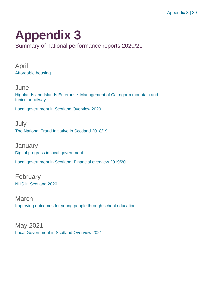### <span id="page-38-0"></span>**Appendix 3**

Summary of national performance reports 2020/21

April [Affordable housing](https://www.audit-scotland.gov.uk/report/affordable-housing)

**June** [Highlands and Islands Enterprise: Management of Cairngorm mountain and](https://www.audit-scotland.gov.uk/report/highlands-and-islands-enterprise-management-of-cairngorm-mountain-and-funicular-railway)  [funicular railway](https://www.audit-scotland.gov.uk/report/highlands-and-islands-enterprise-management-of-cairngorm-mountain-and-funicular-railway)

[Local government in Scotland Overview 2020](https://www.audit-scotland.gov.uk/report/local-government-in-scotland-overview-2020)

July [The National Fraud Initiative in Scotland 2018/19](https://www.audit-scotland.gov.uk/report/the-national-fraud-initiative-in-scotland-201819)

**January** [Digital progress in local government](https://www.audit-scotland.gov.uk/report/digital-progress-in-local-government) [Local government in Scotland: Financial overview 2019/20](https://www.audit-scotland.gov.uk/report/local-government-in-scotland-financial-overview-201920)

February [NHS in Scotland 2020](https://www.audit-scotland.gov.uk/report/nhs-in-scotland-2020)

March [Improving outcomes for young people through school education](https://www.audit-scotland.gov.uk/report/improving-outcomes-for-young-people-through-school-education)

May 2021 [Local Government in Scotland Overview 2021](https://www.audit-scotland.gov.uk/report/local-government-in-scotland-overview-2021)